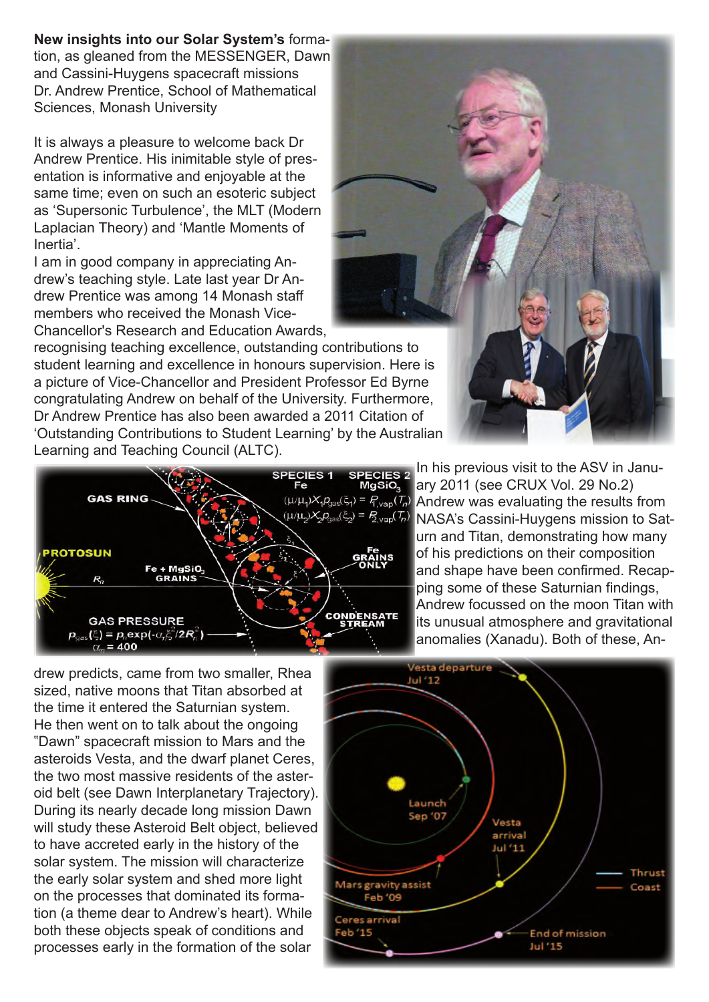## **New insights into our Solar System's** forma-

tion, as gleaned from the MESSENGER, Dawn and Cassini-Huygens spacecraft missions Dr. Andrew Prentice, School of Mathematical Sciences, Monash University

It is always a pleasure to welcome back Dr Andrew Prentice. His inimitable style of presentation is informative and enjoyable at the same time; even on such an esoteric subject as 'Supersonic Turbulence', the MLT (Modern Laplacian Theory) and 'Mantle Moments of Inertia'.

I am in good company in appreciating Andrew's teaching style. Late last year Dr Andrew Prentice was among 14 Monash staff members who received the Monash Vice-Chancellor's Research and Education Awards,

recognising teaching excellence, outstanding contributions to student learning and excellence in honours supervision. Here is a picture of Vice-Chancellor and President Professor Ed Byrne congratulating Andrew on behalf of the University. Furthermore, Dr Andrew Prentice has also been awarded a 2011 Citation of 'Outstanding Contributions to Student Learning' by the Australian Learning and Teaching Council (ALTC).



**SPECIES 2** In his previous visit to the ASV in January 2011 (see CRUX Vol. 29 No.2)  $(\mu\mu_1)X_1P_{\text{gas}}(\xi_1) = P_{\text{Nap}}(T_n)$  Andrew was evaluating the results from  $(\mu/\mu_2)X_2P_{\text{gas}}(\xi_2) = P_{\text{gap}}(T_p)$  NASA's Cassini-Huygens mission to Saturn and Titan, demonstrating how many of his predictions on their composition and shape have been confirmed. Recapping some of these Saturnian findings, Andrew focussed on the moon Titan with its unusual atmosphere and gravitational anomalies (Xanadu). Both of these, An-

drew predicts, came from two smaller, Rhea sized, native moons that Titan absorbed at the time it entered the Saturnian system. He then went on to talk about the ongoing "Dawn" spacecraft mission to Mars and the asteroids Vesta, and the dwarf planet Ceres, the two most massive residents of the asteroid belt (see Dawn Interplanetary Trajectory). During its nearly decade long mission Dawn will study these Asteroid Belt object, believed to have accreted early in the history of the solar system. The mission will characterize the early solar system and shed more light on the processes that dominated its formation (a theme dear to Andrew's heart). While both these objects speak of conditions and processes early in the formation of the solar